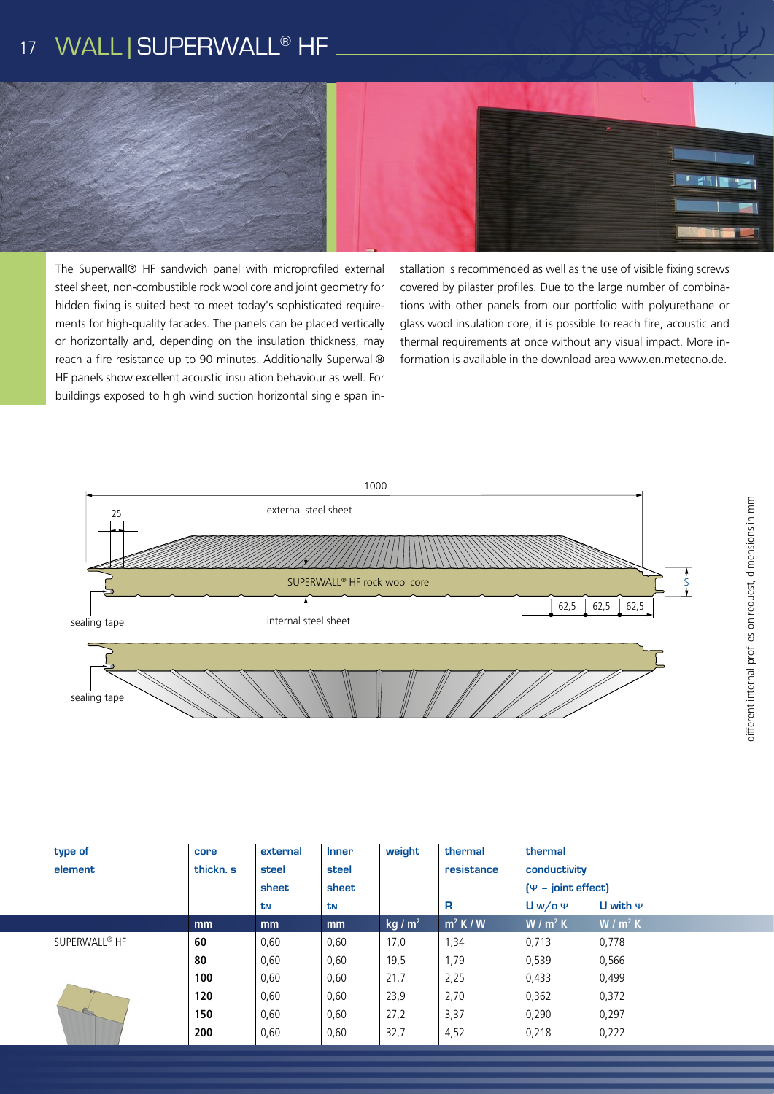# 17 WALL | SUPERWALL<sup>®</sup> HF



The Superwall® HF sandwich panel with microprofiled external steel sheet, non-combustible rock wool core and joint geometry for hidden fixing is suited best to meet today's sophisticated requirements for high-quality facades. The panels can be placed vertically or horizontally and, depending on the insulation thickness, may reach a fire resistance up to 90 minutes. Additionally Superwall® HF panels show excellent acoustic insulation behaviour as well. For buildings exposed to high wind suction horizontal single span installation is recommended as well as the use of visible fixing screws covered by pilaster profiles. Due to the large number of combinations with other panels from our portfolio with polyurethane or glass wool insulation core, it is possible to reach fire, acoustic and thermal requirements at once without any visual impact. More information is available in the download area www.en.metecno.de.



| type of<br>element        | core<br>thickn. s | external<br>steel | <b>Inner</b><br>steel | weight   | thermal<br>resistance | thermal<br>conductivity<br>$(\Psi - \text{joint effect})$<br>$Uw$ /o $\Psi$<br>U with $\Psi$ |           |
|---------------------------|-------------------|-------------------|-----------------------|----------|-----------------------|----------------------------------------------------------------------------------------------|-----------|
|                           |                   | sheet<br>tΝ       | sheet<br>tn           |          | R                     |                                                                                              |           |
|                           | mm                | <sub>mm</sub>     | mm                    | $kq/m^2$ | $\mathsf{m}^2$ K / W  | $W/m^2 K$                                                                                    | $W/m^2 K$ |
| SUPERWALL <sup>®</sup> HF | 60                | 0,60              | 0,60                  | 17,0     | 1,34                  | 0,713                                                                                        | 0,778     |
|                           | 80                | 0,60              | 0,60                  | 19,5     | 1,79                  | 0,539                                                                                        | 0,566     |
|                           | 100               | 0,60              | 0,60                  | 21,7     | 2,25                  | 0,433                                                                                        | 0,499     |
|                           | 120               | 0,60              | 0,60                  | 23,9     | 2,70                  | 0,362                                                                                        | 0,372     |
|                           | 150               | 0,60              | 0,60                  | 27,2     | 3,37                  | 0,290                                                                                        | 0,297     |
|                           | 200               | 0,60              | 0,60                  | 32,7     | 4,52                  | 0,218                                                                                        | 0,222     |